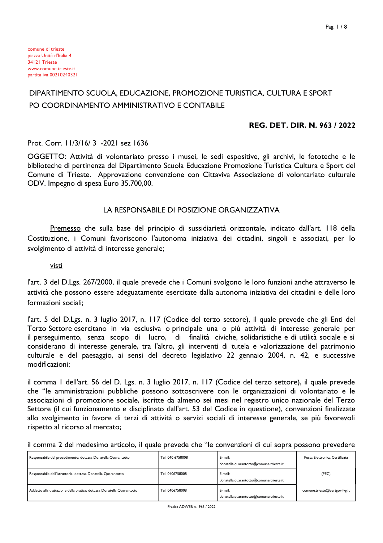## DIPARTIMENTO SCUOLA, EDUCAZIONE, PROMOZIONE TURISTICA, CULTURA E SPORT PO COORDINAMENTO AMMINISTRATIVO E CONTABILE

#### **REG. DET. DIR. N. 963 / 2022**

#### Prot. Corr. 11/3/16/3 -2021 sez 1636

OGGETTO: Attività di volontariato presso i musei, le sedi espositive, gli archivi, le fototeche e le biblioteche di pertinenza del Dipartimento Scuola Educazione Promozione Turistica Cultura e Sport del Comune di Trieste. Approvazione convenzione con Cittaviva Associazione di volontariato culturale ODV. Impegno di spesa Euro 35.700,00.

#### LA RESPONSABILE DI POSIZIONE ORGANIZZATIVA

Premesso che sulla base del principio di sussidiarietà orizzontale, indicato dall'art. I 18 della Costituzione, i Comuni favoriscono l'autonoma iniziativa dei cittadini, singoli e associati, per lo svolgimento di attività di interesse generale;

visti

l'art. 3 del D.Lgs. 267/2000, il quale prevede che i Comuni svolgono le loro funzioni anche attraverso le attività che possono essere adeguatamente esercitate dalla autonoma iniziativa dei cittadini e delle loro formazioni sociali:

l'art. 5 del D.Lgs. n. 3 luglio 2017, n. 117 (Codice del terzo settore), il quale prevede che gli Enti del Terzo Settore esercitano in via esclusiva o principale una o più attività di interesse generale per il perseguimento, senza scopo di lucro, di finalità civiche, solidaristiche e di utilità sociale e si considerano di interesse generale, tra l'altro, gli interventi di tutela e valorizzazione del patrimonio culturale e del paesaggio, ai sensi del decreto legislativo 22 gennaio 2004, n. 42, e successive modificazioni:

il comma I dell'art. 56 del D. Lgs. n. 3 luglio 2017, n. 117 (Codice del terzo settore), il quale prevede che "le amministrazioni pubbliche possono sottoscrivere con le organizzazioni di volontariato e le associazioni di promozione sociale, iscritte da almeno sei mesi nel registro unico nazionale del Terzo Settore (il cui funzionamento e disciplinato dall'art. 53 del Codice in questione), convenzioni finalizzate allo svolgimento in favore di terzi di attività o servizi sociali di interesse generale, se più favorevoli rispetto al ricorso al mercato;

|  |  |  | il comma 2 del medesimo articolo, il quale prevede che "le convenzioni di cui sopra possono prevedere |  |  |
|--|--|--|-------------------------------------------------------------------------------------------------------|--|--|
|  |  |  |                                                                                                       |  |  |

| Responsabile del procedimento: dott.ssa Donatella Quarantotto          | Tel: 040 6758008 | E-mail:<br>donatella.quarantotto@comune.trieste.it | Posta Elettronica Certificata |
|------------------------------------------------------------------------|------------------|----------------------------------------------------|-------------------------------|
| Responsabile dell'istruttoria: dott.ssa Donatella Quarantotto          | Tel: 0406758008  | E-mail:<br>donatella.quarantotto@comune.trieste.it | (PEC)                         |
| Addetto alla trattazione della pratica: dott.ssa Donatella Quarantotto | Tel: 0406758008  | E-mail:<br>donatella.quarantotto@comune.trieste.it | comune.trieste@certgov.fvg.it |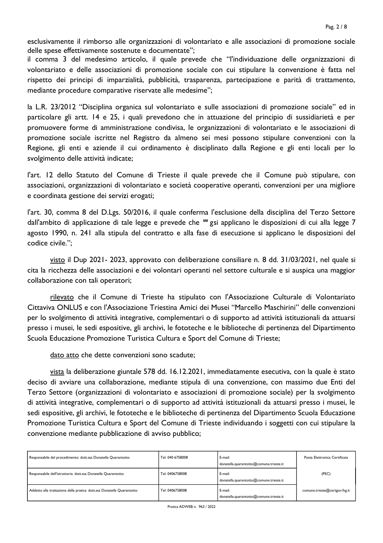esclusivamente il rimborso alle organizzazioni di volontariato e alle associazioni di promozione sociale delle spese effettivamente sostenute e documentate";

il comma 3 del medesimo articolo, il quale prevede che "l'individuazione delle organizzazioni di volontariato e delle associazioni di promozione sociale con cui stipulare la convenzione è fatta nel rispetto dei principi di imparzialità, pubblicità, trasparenza, partecipazione e parità di trattamento, mediante procedure comparative riservate alle medesime";

la L.R. 23/2012 "Disciplina organica sul volontariato e sulle associazioni di promozione sociale" ed in particolare gli artt. 14 e 25, i quali prevedono che in attuazione del principio di sussidiarietà e per promuovere forme di amministrazione condivisa, le organizzazioni di volontariato e le associazioni di promozione sociale iscritte nel Registro da almeno sei mesi possono stipulare convenzioni con la Regione, gli enti e aziende il cui ordinamento è disciplinato dalla Regione e gli enti locali per lo svolgimento delle attività indicate;

l'art. 12 dello Statuto del Comune di Trieste il quale prevede che il Comune può stipulare, con associazioni, organizzazioni di volontariato e società cooperative operanti, convenzioni per una migliore e coordinata gestione dei servizi erogati;

l'art. 30, comma 8 del D.Lgs. 50/2016, il quale conferma l'esclusione della disciplina del Terzo Settore dall'ambito di applicazione di tale legge e prevede che " gsi applicano le disposizioni di cui alla legge 7 agosto 1990, n. 241 alla stipula del contratto e alla fase di esecuzione si applicano le disposizioni del codice civile.":

visto il Dup 2021-2023, approvato con deliberazione consiliare n. 8 dd. 31/03/2021, nel quale si cita la ricchezza delle associazioni e dei volontari operanti nel settore culturale e si auspica una maggior collaborazione con tali operatori;

rilevato che il Comune di Trieste ha stipulato con l'Associazione Culturale di Volontariato Cittaviva ONLUS e con l'Associazione Triestina Amici dei Musei "Marcello Maschirini" delle convenzioni per lo svolgimento di attività integrative, complementari o di supporto ad attività istituzionali da attuarsi presso i musei, le sedi espositive, gli archivi, le fototeche e le biblioteche di pertinenza del Dipartimento Scuola Educazione Promozione Turistica Cultura e Sport del Comune di Trieste;

dato atto che dette convenzioni sono scadute;

vista la deliberazione giuntale 578 dd. 16.12.2021, immediatamente esecutiva, con la quale è stato deciso di avviare una collaborazione, mediante stipula di una convenzione, con massimo due Enti del Terzo Settore (organizzazioni di volontariato e associazioni di promozione sociale) per la svolgimento di attività integrative, complementari o di supporto ad attività istituzionali da attuarsi presso i musei, le sedi espositive, gli archivi, le fototeche e le biblioteche di pertinenza del Dipartimento Scuola Educazione Promozione Turistica Cultura e Sport del Comune di Trieste individuando i soggetti con cui stipulare la convenzione mediante pubblicazione di avviso pubblico;

| Responsabile del procedimento: dott.ssa Donatella Quarantotto          | Tel: 040 6758008 | E-mail:<br>donatella.quarantotto@comune.trieste.it | Posta Elettronica Certificata |
|------------------------------------------------------------------------|------------------|----------------------------------------------------|-------------------------------|
| Responsabile dell'istruttoria: dott.ssa Donatella Quarantotto          | Tel: 0406758008  | E-mail:<br>donatella.quarantotto@comune.trieste.it | (PEC)                         |
| Addetto alla trattazione della pratica: dott.ssa Donatella Quarantotto | Tel: 0406758008  | E-mail:<br>donatella.quarantotto@comune.trieste.it | comune.trieste@certgov.fvg.it |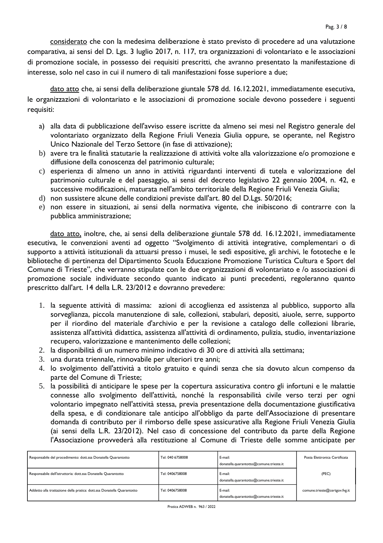considerato che con la medesima deliberazione è stato previsto di procedere ad una valutazione comparativa, ai sensi del D. Lgs. 3 luglio 2017, n. 117, tra organizzazioni di volontariato e le associazioni di promozione sociale, in possesso dei requisiti prescritti, che avranno presentato la manifestazione di interesse, solo nel caso in cui il numero di tali manifestazioni fosse superiore a due;

dato atto che, ai sensi della deliberazione giuntale 578 dd. 16.12.2021, immediatamente esecutiva, le organizzazioni di volontariato e le associazioni di promozione sociale devono possedere i seguenti requisiti:

- a) alla data di pubblicazione dell'avviso essere iscritte da almeno sei mesi nel Registro generale del volontariato organizzato della Regione Friuli Venezia Giulia oppure, se operante, nel Registro Unico Nazionale del Terzo Settore (in fase di attivazione);
- b) avere tra le finalità statutarie la realizzazione di attività volte alla valorizzazione e/o promozione e diffusione della conoscenza del patrimonio culturale;
- c) esperienza di almeno un anno in attività riguardanti interventi di tutela e valorizzazione del patrimonio culturale e del paesaggio, ai sensi del decreto legislativo 22 gennaio 2004, n. 42, e successive modificazioni, maturata nell'ambito territoriale della Regione Friuli Venezia Giulia;
- d) non sussistere alcune delle condizioni previste dall'art. 80 del D.Lgs. 50/2016;
- e) non essere in situazioni, ai sensi della normativa vigente, che inibiscono di contrarre con la pubblica amministrazione;

dato atto, inoltre, che, ai sensi della deliberazione giuntale 578 dd. 16.12.2021, immediatamente esecutiva, le convenzioni aventi ad oggetto "Svolgimento di attività integrative, complementari o di supporto a attività istituzionali da attuarsi presso i musei, le sedi espositive, gli archivi, le fototeche e le biblioteche di pertinenza del Dipartimento Scuola Educazione Promozione Turistica Cultura e Sport del Comune di Trieste", che verranno stipulate con le due organizzazioni di volontariato e /o associazioni di promozione sociale individuate secondo quanto indicato ai punti precedenti, regoleranno quanto prescritto dall'art. 14 della L.R. 23/2012 e dovranno prevedere:

- 1. la seguente attività di massima: azioni di accoglienza ed assistenza al pubblico, supporto alla sorveglianza, piccola manutenzione di sale, collezioni, stabulari, depositi, aiuole, serre, supporto per il riordino del materiale d'archivio e per la revisione a catalogo delle collezioni librarie, assistenza all'attività didattica, assistenza all'attività di ordinamento, pulizia, studio, inventariazione recupero, valorizzazione e mantenimento delle collezioni;
- 2. la disponibilità di un numero minimo indicativo di 30 ore di attività alla settimana;
- 3. una durata triennale, rinnovabile per ulteriori tre anni;
- 4. lo svolgimento dell'attività a titolo gratuito e quindi senza che sia dovuto alcun compenso da parte del Comune di Trieste;
- 5. la possibilità di anticipare le spese per la copertura assicurativa contro gli infortuni e le malattie connesse allo svolgimento dell'attività, nonché la responsabilità civile verso terzi per ogni volontario impegnato nell'attività stessa, previa presentazione della documentazione giustificativa della spesa, e di condizionare tale anticipo all'obbligo da parte dell'Associazione di presentare domanda di contributo per il rimborso delle spese assicurative alla Regione Friuli Venezia Giulia (ai sensi della L.R. 23/2012). Nel caso di concessione del contributo da parte della Regione l'Associazione provvederà alla restituzione al Comune di Trieste delle somme anticipate per

| Responsabile del procedimento: dott.ssa Donatella Quarantotto          | Tel: 040 6758008 | E-mail:<br>donatella.quarantotto@comune.trieste.it | Posta Elettronica Certificata |
|------------------------------------------------------------------------|------------------|----------------------------------------------------|-------------------------------|
| Responsabile dell'istruttoria: dott.ssa Donatella Quarantotto          | Tel: 0406758008  | E-mail:<br>donatella.quarantotto@comune.trieste.it | (PEC)                         |
| Addetto alla trattazione della pratica: dott.ssa Donatella Quarantotto | Tel: 0406758008  | E-mail:<br>donatella.quarantotto@comune.trieste.it | comune.trieste@certgov.fvg.it |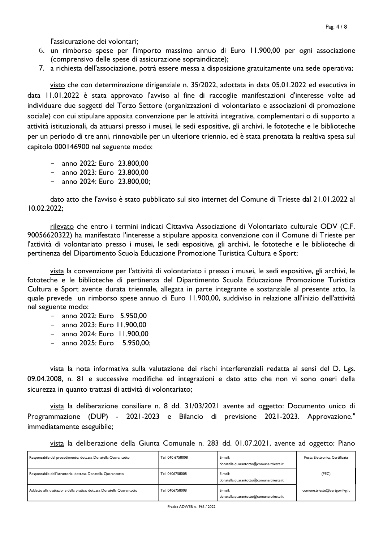l'assicurazione dei volontari:

- 6. un rimborso spese per l'importo massimo annuo di Euro 11.900,00 per ogni associazione (comprensivo delle spese di assicurazione sopraindicate);
- 7. a richiesta dell'associazione, potrà essere messa a disposizione gratuitamente una sede operativa;

visto che con determinazione dirigenziale n. 35/2022, adottata in data 05.01.2022 ed esecutiva in data 11.01.2022 è stata approvato l'avviso al fine di raccoglie manifestazioni d'interesse volte ad individuare due soggetti del Terzo Settore (organizzazioni di volontariato e associazioni di promozione sociale) con cui stipulare apposita convenzione per le attività integrative, complementari o di supporto a attività istituzionali, da attuarsi presso i musei, le sedi espositive, gli archivi, le fototeche e le biblioteche per un periodo di tre anni, rinnovabile per un ulteriore triennio, ed è stata prenotata la realtiva spesa sul capitolo 000146900 nel seguente modo:

- anno 2022: Euro 23.800,00
- $-$  anno 2023: Euro 23.800,00
- anno 2024: Euro 23.800,00;

dato atto che l'avviso è stato pubblicato sul sito internet del Comune di Trieste dal 21.01.2022 al 10.02.2022:

rilevato che entro i termini indicati Cittaviva Associazione di Volontariato culturale ODV (C.F. 90056620322) ha manifestato l'interesse a stipulare apposita convenzione con il Comune di Trieste per l'attività di volontariato presso i musei, le sedi espositive, gli archivi, le fototeche e le biblioteche di pertinenza del Dipartimento Scuola Educazione Promozione Turistica Cultura e Sport;

vista la convenzione per l'attività di volontariato i presso i musei, le sedi espositive, gli archivi, le fototeche e le biblioteche di pertinenza del Dipartimento Scuola Educazione Promozione Turistica Cultura e Sport avente durata triennale, allegata in parte integrante e sostanziale al presente atto, la quale prevede un rimborso spese annuo di Euro 11.900,00, suddiviso in relazione all'inizio dell'attività nel seguente modo:

- anno 2022: Euro 5.950.00
- anno 2023: Euro 11.900.00
- anno 2024: Euro 11.900,00
- anno 2025: Euro 5.950,00;

vista la nota informativa sulla valutazione dei rischi interferenziali redatta ai sensi del D. Lgs. 09.04.2008, n. 81 e successive modifiche ed integrazioni e dato atto che non vi sono oneri della sicurezza in quanto trattasi di attività di volontariato:

vista la deliberazione consiliare n. 8 dd. 31/03/2021 avente ad oggetto: Documento unico di Programmazione (DUP) - 2021-2023 e Bilancio di previsione 2021-2023. Approvazione." immediatamente eseguibile;

vista la deliberazione della Giunta Comunale n. 283 dd. 01.07.2021, avente ad oggetto: Piano

| Responsabile del procedimento: dott.ssa Donatella Quarantotto          | Tel: 040 6758008 | E-mail:<br>donatella.quarantotto@comune.trieste.it | Posta Elettronica Certificata |
|------------------------------------------------------------------------|------------------|----------------------------------------------------|-------------------------------|
| Responsabile dell'istruttoria: dott.ssa Donatella Quarantotto          | Tel: 0406758008  | E-mail:<br>donatella.quarantotto@comune.trieste.it | (PEC)                         |
| Addetto alla trattazione della pratica: dott.ssa Donatella Quarantotto | Tel: 0406758008  | E-mail:<br>donatella.quarantotto@comune.trieste.it | comune.trieste@certgov.fvg.it |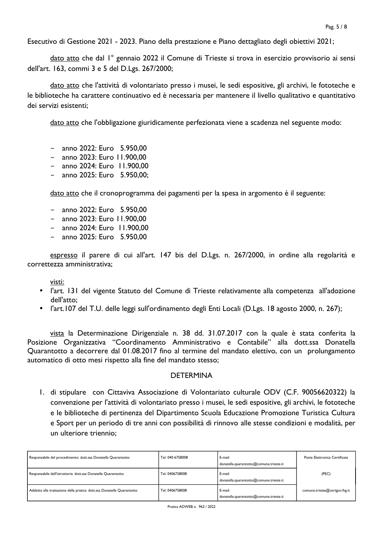Esecutivo di Gestione 2021 - 2023. Piano della prestazione e Piano dettagliato degli obiettivi 2021;

dato atto che dal l° gennaio 2022 il Comune di Trieste si trova in esercizio provvisorio ai sensi dell'art. 163, commi 3 e 5 del D.Lgs. 267/2000;

dato atto che l'attività di volontariato presso i musei, le sedi espositive, gli archivi, le fototeche e le biblioteche ha carattere continuativo ed è necessaria per mantenere il livello qualitativo e quantitativo dei servizi esistenti:

dato atto che l'obbligazione giuridicamente perfezionata viene a scadenza nel seguente modo:

- $-$  anno 2022: Euro 5.950,00
- anno 2023: Euro 11.900,00
- anno 2024: Euro 11.900,00
- anno 2025: Euro 5.950.00:  $\sim$   $-$

dato atto che il cronoprogramma dei pagamenti per la spesa in argomento è il seguente:

- $-$  anno 2022: Euro 5.950.00
- $-$  anno 2023: Euro 11.900.00
- anno 2024: Euro 11.900,00
- $-$  anno 2025: Euro 5.950.00

espresso il parere di cui all'art. 147 bis del D.Lgs. n. 267/2000, in ordine alla regolarità e correttezza amministrativa;

visti:

- l'art. 131 del vigente Statuto del Comune di Trieste relativamente alla competenza all'adozione dell'atto:
- l'art.107 del T.U. delle leggi sull'ordinamento degli Enti Locali (D.Lgs. 18 agosto 2000, n. 267);

vista la Determinazione Dirigenziale n. 38 dd. 31.07.2017 con la quale è stata conferita la Posizione Organizzativa "Coordinamento Amministrativo e Contabile" alla dott.ssa Donatella Quarantotto a decorrere dal 01.08.2017 fino al termine del mandato elettivo, con un prolungamento automatico di otto mesi rispetto alla fine del mandato stesso;

#### **DFTFRMINA**

1. di stipulare con Cittaviva Associazione di Volontariato culturale ODV (C.F. 90056620322) la convenzione per l'attività di volontariato presso i musei, le sedi espositive, gli archivi, le fototeche e le biblioteche di pertinenza del Dipartimento Scuola Educazione Promozione Turistica Cultura e Sport per un periodo di tre anni con possibilità di rinnovo alle stesse condizioni e modalità, per un ulteriore triennio:

| Responsabile del procedimento: dott.ssa Donatella Quarantotto          | Tel: 040 6758008 | E-mail:<br>donatella.quarantotto@comune.trieste.it | Posta Elettronica Certificata |
|------------------------------------------------------------------------|------------------|----------------------------------------------------|-------------------------------|
| Responsabile dell'istruttoria: dott.ssa Donatella Quarantotto          | Tel: 0406758008  | E-mail:<br>donatella.quarantotto@comune.trieste.it | (PEC)                         |
| Addetto alla trattazione della pratica: dott.ssa Donatella Quarantotto | Tel: 0406758008  | E-mail:<br>donatella.quarantotto@comune.trieste.it | comune.trieste@certgov.fvg.it |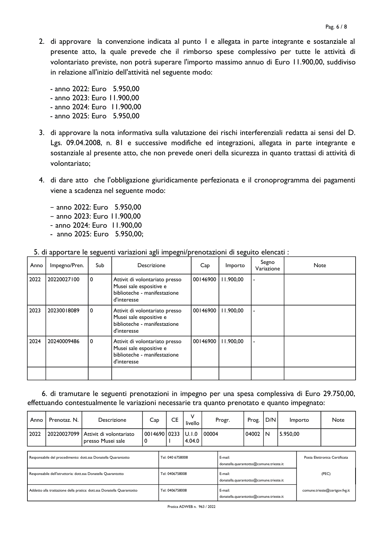- 2. di approvare la convenzione indicata al punto I e allegata in parte integrante e sostanziale al presente atto, la quale prevede che il rimborso spese complessivo per tutte le attività di volontariato previste, non potrà superare l'importo massimo annuo di Euro 11.900,00, suddiviso in relazione all'inizio dell'attività nel seguente modo:
	- anno 2022: Euro 5.950.00 - anno 2023: Euro 11.900.00 - anno 2024: Euro 11.900.00 - anno 2025: Euro 5.950,00
- 3. di approvare la nota informativa sulla valutazione dei rischi interferenziali redatta ai sensi del D. Lgs. 09.04.2008, n. 81 e successive modifiche ed integrazioni, allegata in parte integrante e sostanziale al presente atto, che non prevede oneri della sicurezza in quanto trattasi di attività di volontariato:
- 4. di dare atto che l'obbligazione giuridicamente perfezionata e il cronoprogramma dei pagamenti viene a scadenza nel seguente modo:
	- anno 2022: Euro 5.950,00
	- anno 2023: Euro 11.900.00
	- anno 2024: Euro 11.900,00
	- anno 2025: Euro 5.950,00;

| Anno | Impegno/Pren. | Sub | Descrizione                                                                                              | Cap      | Importo   | Segno<br>Variazione | <b>Note</b> |
|------|---------------|-----|----------------------------------------------------------------------------------------------------------|----------|-----------|---------------------|-------------|
| 2022 | 20220027100   | 0۱  | Attivit di volontariato presso<br>Musei sale espositive e<br>biblioteche - manifestazione<br>d'interesse | 00146900 | 11.900,00 |                     |             |
| 2023 | 20230018089   | 0   | Attivit di volontariato presso<br>Musei sale espositive e<br>biblioteche - manifestazione<br>d'interesse | 00146900 | 11.900,00 |                     |             |
| 2024 | 20240009486   | 0   | Attivit di volontariato presso<br>Musei sale espositive e<br>biblioteche - manifestazione<br>d'interesse | 00146900 | 11.900,00 |                     |             |
|      |               |     |                                                                                                          |          |           |                     |             |

5. di apportare le seguenti variazioni agli impegni/prenotazioni di seguito elencati :

6. di tramutare le seguenti prenotazioni in impegno per una spesa complessiva di Euro 29.750,00, effettuando contestualmente le variazioni necessarie tra quanto prenotato e quanto impegnato:

| Anno                                                                   | Prenotaz, N. | Descrizione                                  | Cap                   |                 | <b>CE</b>        | ν<br>livello                                       |                                                    | Progr.                                             | Prog.                         | D/N |          | Importo | Note                          |
|------------------------------------------------------------------------|--------------|----------------------------------------------|-----------------------|-----------------|------------------|----------------------------------------------------|----------------------------------------------------|----------------------------------------------------|-------------------------------|-----|----------|---------|-------------------------------|
| 2022                                                                   | 20220027099  | Attivit di volontariato<br>presso Musei sale | 00   4690   0233<br>0 |                 |                  | U.I.0<br>4.04.0                                    | 00004                                              |                                                    | 04002                         | IN. | 5.950,00 |         |                               |
|                                                                        |              |                                              |                       |                 |                  |                                                    |                                                    |                                                    |                               |     |          |         |                               |
| Responsabile del procedimento: dott.ssa Donatella Quarantotto          |              |                                              |                       |                 | Tel: 040 6758008 |                                                    |                                                    | E-mail:<br>donatella.quarantotto@comune.trieste.it |                               |     |          |         | Posta Elettronica Certificata |
| Responsabile dell'istruttoria: dott.ssa Donatella Quarantotto          |              |                                              |                       |                 | Tel: 0406758008  |                                                    | E-mail:<br>donatella.quarantotto@comune.trieste.it |                                                    |                               |     |          | (PEC)   |                               |
| Addetto alla trattazione della pratica: dott.ssa Donatella Quarantotto |              |                                              |                       | Tel: 0406758008 |                  | E-mail:<br>donatella.quarantotto@comune.trieste.it |                                                    |                                                    | comune.trieste@certgov.fvg.it |     |          |         |                               |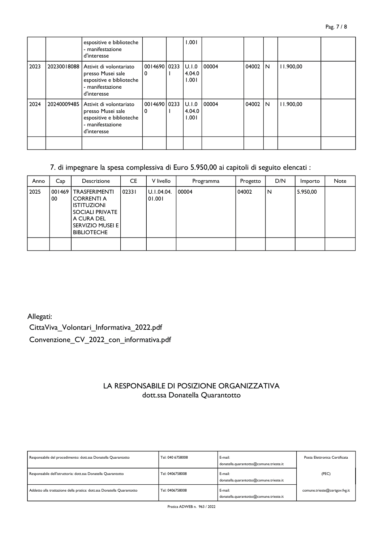|      |             | espositive e biblioteche<br>- manifestazione<br>d'interesse                                                 |                     | 1.001                            |        |          |           |  |
|------|-------------|-------------------------------------------------------------------------------------------------------------|---------------------|----------------------------------|--------|----------|-----------|--|
| 2023 | 20230018088 | Attivit di volontariato<br>presso Musei sale<br>espositive e biblioteche<br>- manifestazione<br>d'interesse | 0014690   0233<br>0 | <b>JU.I.0</b><br>4.04.0<br>1.001 | 100004 | 04002 IN | 11.900,00 |  |
| 2024 | 20240009485 | Attivit di volontariato<br>presso Musei sale<br>espositive e biblioteche<br>- manifestazione<br>d'interesse | 001469010233<br>0   | <b>JU.I.0</b><br>4.04.0<br>1.001 | 100004 | 04002 IN | 11.900.00 |  |
|      |             |                                                                                                             |                     |                                  |        |          |           |  |

## 7. di impegnare la spesa complessiva di Euro 5.950,00 ai capitoli di seguito elencati :

| Anno | Cap          | Descrizione                                                                                                                                                | CE    | V livello            | Programma | Progetto | D/N | Importo  | Note |
|------|--------------|------------------------------------------------------------------------------------------------------------------------------------------------------------|-------|----------------------|-----------|----------|-----|----------|------|
| 2025 | 001469<br>00 | <b>TRASFERIMENTI</b><br><b>CORRENTI A</b><br><b>ISTITUZIONI</b><br><b>SOCIALI PRIVATE</b><br>A CURA DEL<br><b>SERVIZIO MUSEI E I</b><br><b>BIBLIOTECHE</b> | 02331 | U.1.04.04.<br>01.001 | 00004     | 04002    | N   | 5.950,00 |      |
|      |              |                                                                                                                                                            |       |                      |           |          |     |          |      |

Allegati: CittaViva Volontari Informativa 2022.pdf Convenzione\_CV\_2022\_con\_informativa.pdf

## LA RESPONSABILE DI POSIZIONE ORGANIZZATIVA dott.ssa Donatella Quarantotto

| Responsabile del procedimento: dott.ssa Donatella Quarantotto          | Tel: 040 6758008 | E-mail:<br>donatella.quarantotto@comune.trieste.it | Posta Elettronica Certificata |
|------------------------------------------------------------------------|------------------|----------------------------------------------------|-------------------------------|
| Responsabile dell'istruttoria: dott.ssa Donatella Quarantotto          | Tel: 0406758008  | E-mail:<br>donatella.quarantotto@comune.trieste.it | (PEC)                         |
| Addetto alla trattazione della pratica: dott.ssa Donatella Quarantotto | Tel: 0406758008  | E-mail:<br>donatella.quarantotto@comune.trieste.it | comune.trieste@certgov.fvg.it |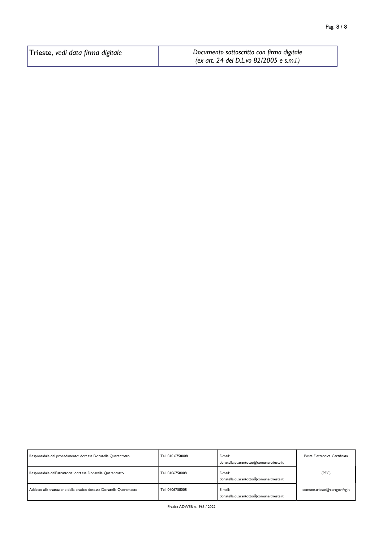| Trieste, vedi data firma digitale | Documento sottoscritto con firma digitale |
|-----------------------------------|-------------------------------------------|
|                                   | (ex art. 24 del D.L.vo 82/2005 e s.m.i.)  |

| Responsabile del procedimento: dott.ssa Donatella Quarantotto          | Tel: 040 6758008 | E-mail:<br>donatella.quarantotto@comune.trieste.it | Posta Elettronica Certificata |
|------------------------------------------------------------------------|------------------|----------------------------------------------------|-------------------------------|
| Responsabile dell'istruttoria: dott.ssa Donatella Quarantotto          | Tel: 0406758008  | E-mail:<br>donatella.quarantotto@comune.trieste.it | (PEC)                         |
| Addetto alla trattazione della pratica: dott.ssa Donatella Quarantotto | Tel: 0406758008  | E-mail:<br>donatella.quarantotto@comune.trieste.it | comune.trieste@certgov.fvg.it |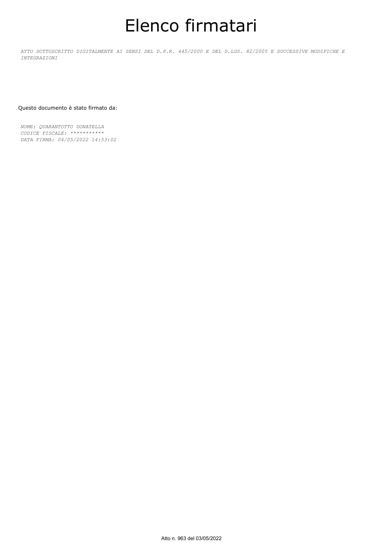# Elenco firmatari

*ATTO SOTTOSCRITTO DIGITALMENTE AI SENSI DEL D.P.R. 445/2000 E DEL D.LGS. 82/2005 E SUCCESSIVE MODIFICHE E INTEGRAZIONI*

#### Questo documento è stato firmato da:

*NOME: QUARANTOTTO DONATELLA CODICE FISCALE: \*\*\*\*\*\*\*\*\*\*\* DATA FIRMA: 04/05/2022 14:53:02*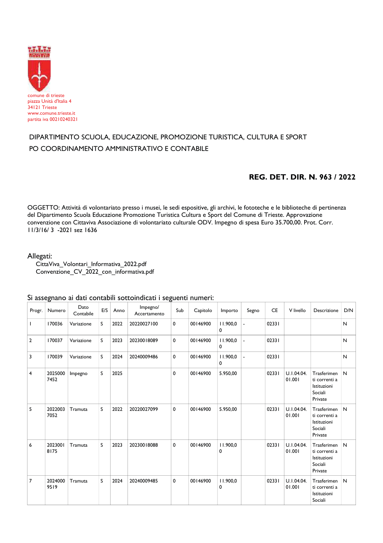

## DIPARTIMENTO SCUOLA, EDUCAZIONE, PROMOZIONE TURISTICA, CULTURA E SPORT PO COORDINAMENTO AMMINISTRATIVO E CONTABILE

#### REG. DET. DIR. N. 963 / 2022

OGGETTO: Attività di volontariato presso i musei, le sedi espositive, gli archivi, le fototeche e le biblioteche di pertinenza del Dipartimento Scuola Educazione Promozione Turistica Cultura e Sport del Comune di Trieste. Approvazione convenzione con Cittaviva Associazione di volontariato culturale ODV. Impegno di spesa Euro 35.700,00. Prot. Corr. 11/3/16/3 -2021 sez 1636

#### Allegati:

CittaViva\_Volontari\_Informativa\_2022.pdf Convenzione CV 2022 con informativa.pdf

#### Si assegnano ai dati contabili sottoindicati i seguenti numeri:

| Progr.         | Numero          | Dato<br>Contabile | E/S | Anno | Impegno/<br>Accertamento | Sub         | Capitolo | Importo       | Segno                    | <b>CE</b> | V livello            | Descrizione                                                       | D/N |
|----------------|-----------------|-------------------|-----|------|--------------------------|-------------|----------|---------------|--------------------------|-----------|----------------------|-------------------------------------------------------------------|-----|
| $\mathbf{I}$   | 170036          | Variazione        | S   | 2022 | 20220027100              | 0           | 00146900 | 11.900.0<br>0 | ÷,                       | 02331     |                      |                                                                   | N   |
| $\overline{2}$ | 170037          | Variazione        | S   | 2023 | 20230018089              | $\mathbf 0$ | 00146900 | 11.900,0<br>0 | $\overline{\phantom{a}}$ | 02331     |                      |                                                                   | N   |
| 3              | 170039          | Variazione        | S   | 2024 | 20240009486              | $\mathbf 0$ | 00146900 | 11.900,0<br>0 | $\overline{\phantom{a}}$ | 02331     |                      |                                                                   | N   |
| 4              | 2025000<br>7452 | Impegno           | S   | 2025 |                          | 0           | 00146900 | 5.950,00      |                          | 02331     | U.1.04.04.<br>01.001 | Trasferimen<br>ti correnti a<br>Istituzioni<br>Sociali<br>Private | N   |
| 5              | 2022003<br>7052 | Tramuta           | S   | 2022 | 20220027099              | $\mathbf 0$ | 00146900 | 5.950,00      |                          | 02331     | U.1.04.04.<br>01.001 | Trasferimen<br>ti correnti a<br>Istituzioni<br>Sociali<br>Private | N   |
| 6              | 2023001<br>8175 | Tramuta           | S   | 2023 | 20230018088              | $\mathbf 0$ | 00146900 | 11.900.0<br>0 |                          | 02331     | U.1.04.04.<br>01.001 | Trasferimen<br>ti correnti a<br>Istituzioni<br>Sociali<br>Private | N   |
| 7              | 2024000<br>9519 | Tramuta           | S   | 2024 | 20240009485              | 0           | 00146900 | 11.900,0<br>0 |                          | 02331     | U.1.04.04.<br>01.001 | Trasferimen<br>ti correnti a<br>Istituzioni<br>Sociali            | N   |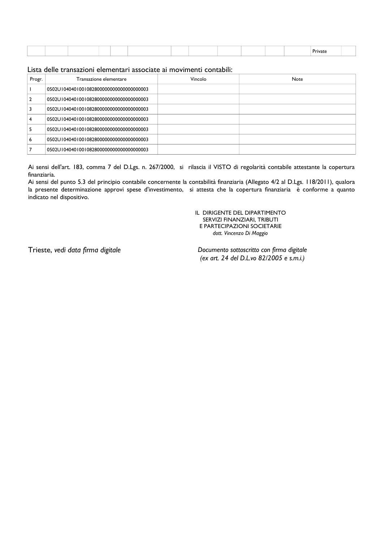|  |  |  |  |  |  | -<br>$- -$<br>IV 4 I |  |
|--|--|--|--|--|--|----------------------|--|
|  |  |  |  |  |  |                      |  |

#### Lista delle transazioni elementari associate ai movimenti contabili:

| Progr. | Transazione elementare                    | Vincolo | <b>Note</b> |
|--------|-------------------------------------------|---------|-------------|
|        | 0502U10404010010828000000000000000000003  |         |             |
|        | 0502U10404010010828000000000000000000003  |         |             |
|        | 0502U104040100108280000000000000000000003 |         |             |
|        | 0502U10404010010828000000000000000000003  |         |             |
|        | 0502U10404010010828000000000000000000003  |         |             |
| 6      | 0502U10404010010828000000000000000000003  |         |             |
|        | 0502U104040100108280000000000000000000003 |         |             |

Ai sensi dell'art. 183, comma 7 del D.Lgs. n. 267/2000, si rilascia il VISTO di regolarità contabile attestante la copertura finanziaria.

Ai sensi del punto 5.3 del principio contabile concernente la contabilità finanziaria (Allegato 4/2 al D.Lgs. 118/2011), qualora la presente determinazione approvi spese d'investimento, si attesta che la copertura finanziaria è conforme a quanto indicato nel dispositivo.

> IL DIRIGENTE DEL DIPARTIMENTO SERVIZI FINANZIARI, TRIBUTI E PARTECIPAZIONI SOCIETARIE dott. Vincenzo Di Maggio

Trieste, vedi data firma digitale

Documento sottoscritto con firma digitale (ex art. 24 del D.L.vo 82/2005 e s.m.i.)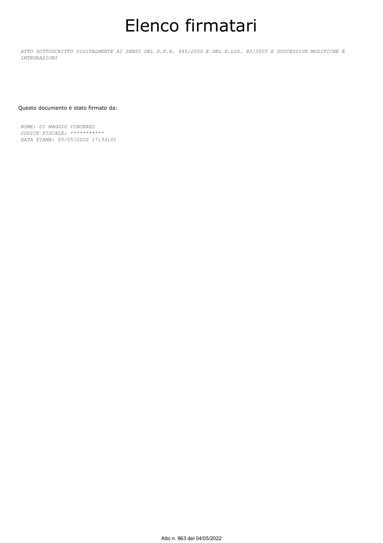# Elenco firmatari

*ATTO SOTTOSCRITTO DIGITALMENTE AI SENSI DEL D.P.R. 445/2000 E DEL D.LGS. 82/2005 E SUCCESSIVE MODIFICHE E INTEGRAZIONI*

#### Questo documento è stato firmato da:

*NOME: DI MAGGIO VINCENZO CODICE FISCALE: \*\*\*\*\*\*\*\*\*\*\* DATA FIRMA: 05/05/2022 17:33:01*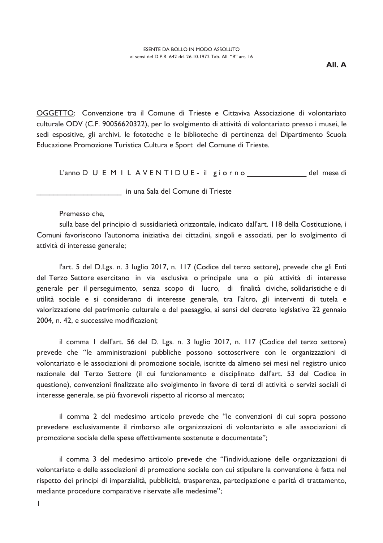OGGETTO: Convenzione tra il Comune di Trieste e Cittaviva Associazione di volontariato culturale ODV (C.F. 90056620322), per lo svolgimento di attività di volontariato presso i musei, le sedi espositive, gli archivi, le fototeche e le biblioteche di pertinenza del Dipartimento Scuola Educazione Promozione Turistica Cultura e Sport del Comune di Trieste.

L'anno DUEMILAVENTIDUE - il giorno del mese di

in una Sala del Comune di Trieste

#### Premesso che.

sulla base del principio di sussidiarietà orizzontale, indicato dall'art. I 18 della Costituzione, i Comuni favoriscono l'autonoma iniziativa dei cittadini, singoli e associati, per lo svolgimento di attività di interesse generale;

l'art. 5 del D.Lgs. n. 3 luglio 2017, n. 117 (Codice del terzo settore), prevede che gli Enti del Terzo Settore esercitano in via esclusiva o principale una o più attività di interesse generale per il perseguimento, senza scopo di lucro, di finalità civiche, solidaristiche e di utilità sociale e si considerano di interesse generale, tra l'altro, gli interventi di tutela e valorizzazione del patrimonio culturale e del paesaggio, ai sensi del decreto legislativo 22 gennaio 2004, n. 42, e successive modificazioni;

il comma I dell'art. 56 del D. Lgs. n. 3 luglio 2017, n. 117 (Codice del terzo settore) prevede che "le amministrazioni pubbliche possono sottoscrivere con le organizzazioni di volontariato e le associazioni di promozione sociale, iscritte da almeno sei mesi nel registro unico nazionale del Terzo Settore (il cui funzionamento e disciplinato dall'art. 53 del Codice in questione), convenzioni finalizzate allo svolgimento in favore di terzi di attività o servizi sociali di interesse generale, se più favorevoli rispetto al ricorso al mercato;

il comma 2 del medesimo articolo prevede che "le convenzioni di cui sopra possono prevedere esclusivamente il rimborso alle organizzazioni di volontariato e alle associazioni di promozione sociale delle spese effettivamente sostenute e documentate";

il comma 3 del medesimo articolo prevede che "l'individuazione delle organizzazioni di volontariato e delle associazioni di promozione sociale con cui stipulare la convenzione è fatta nel rispetto dei principi di imparzialità, pubblicità, trasparenza, partecipazione e parità di trattamento, mediante procedure comparative riservate alle medesime";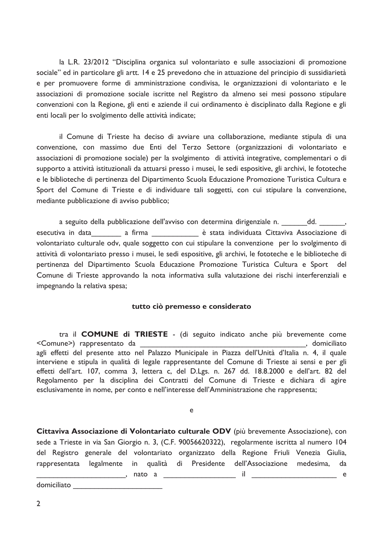la L.R. 23/2012 "Disciplina organica sul volontariato e sulle associazioni di promozione sociale" ed in particolare gli artt. 14 e 25 prevedono che in attuazione del principio di sussidiarietà e per promuovere forme di amministrazione condivisa, le organizzazioni di volontariato e le associazioni di promozione sociale iscritte nel Registro da almeno sei mesi possono stipulare convenzioni con la Regione, gli enti e aziende il cui ordinamento è disciplinato dalla Regione e gli enti locali per lo svolgimento delle attività indicate;

il Comune di Trieste ha deciso di avviare una collaborazione, mediante stipula di una convenzione, con massimo due Enti del Terzo Settore (organizzazioni di volontariato e associazioni di promozione sociale) per la svolgimento di attività integrative, complementari o di supporto a attività istituzionali da attuarsi presso i musei, le sedi espositive, gli archivi, le fototeche e le biblioteche di pertinenza del Dipartimento Scuola Educazione Promozione Turistica Cultura e Sport del Comune di Trieste e di individuare tali soggetti, con cui stipulare la convenzione, mediante pubblicazione di avviso pubblico;

a seguito della pubblicazione dell'avviso con determina dirigenziale n. dd. esecutiva in data a firma di estata individuata Cittaviva Associazione di volontariato culturale odv, quale soggetto con cui stipulare la convenzione per lo svolgimento di attività di volontariato presso i musei, le sedi espositive, gli archivi, le fototeche e le biblioteche di pertinenza del Dipartimento Scuola Educazione Promozione Turistica Cultura e Sport del Comune di Trieste approvando la nota informativa sulla valutazione dei rischi interferenziali e impegnando la relativa spesa;

#### tutto ciò premesso e considerato

tra il COMUNE di TRIESTE - (di seguito indicato anche più brevemente come <Comune>) rappresentato da , domiciliato agli effetti del presente atto nel Palazzo Municipale in Piazza dell'Unità d'Italia n. 4, il quale interviene e stipula in qualità di legale rappresentante del Comune di Trieste ai sensi e per gli effetti dell'art. 107, comma 3, lettera c, del D.Lgs. n. 267 dd. 18.8.2000 e dell'art. 82 del Regolamento per la disciplina dei Contratti del Comune di Trieste e dichiara di agire esclusivamente in nome, per conto e nell'interesse dell'Amministrazione che rappresenta;

e

Cittaviva Associazione di Volontariato culturale ODV (più brevemente Associazione), con sede a Trieste in via San Giorgio n. 3, (C.F. 90056620322), regolarmente iscritta al numero 104 del Registro generale del volontariato organizzato della Regione Friuli Venezia Giulia, rappresentata legalmente in qualità di Presidente dell'Associazione medesima, da  $\blacksquare$ , nato a  $\blacksquare$  $\overline{\phantom{a}}$  e

domiciliato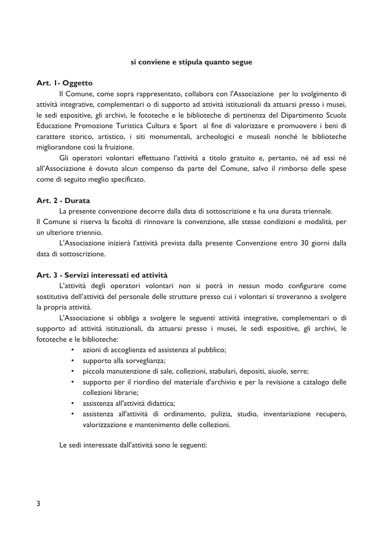#### si conviene e stipula quanto segue

#### Art. I-Oggetto

Il Comune, come sopra rappresentato, collabora con l'Associazione per lo svolgimento di attività integrative, complementari o di supporto ad attività istituzionali da attuarsi presso i musei, le sedi espositive, gli archivi, le fototeche e le biblioteche di pertinenza del Dipartimento Scuola Educazione Promozione Turistica Cultura e Sport al fine di valorizzare e promuovere i beni di carattere storico, artistico, i siti monumentali, archeologici e museali nonché le biblioteche migliorandone così la fruizione.

Gli operatori volontari effettuano l'attività a titolo gratuito e, pertanto, né ad essi né all'Associazione è dovuto alcun compenso da parte del Comune, salvo il rimborso delle spese come di seguito meglio specificato.

#### Art. 2 - Durata

La presente convenzione decorre dalla data di sottoscrizione e ha una durata triennale.

Il Comune si riserva la facoltà di rinnovare la convenzione, alle stesse condizioni e modalità, per un ulteriore triennio.

L'Associazione inizierà l'attività prevista dalla presente Convenzione entro 30 giorni dalla data di sottoscrizione

#### Art. 3 - Servizi interessati ed attività

L'attività degli operatori volontari non si potrà in nessun modo configurare come sostitutiva dell'attività del personale delle strutture presso cui i volontari si troveranno a svolgere la propria attività.

L'Associazione si obbliga a svolgere le seguenti attività integrative, complementari o di supporto ad attività istituzionali, da attuarsi presso i musei, le sedi espositive, gli archivi, le fototeche e le biblioteche:

- azioni di accoglienza ed assistenza al pubblico;
- supporto alla sorveglianza;
- piccola manutenzione di sale, collezioni, stabulari, depositi, aiuole, serre;
- supporto per il riordino del materiale d'archivio e per la revisione a catalogo delle  $\bullet$ collezioni librarie:
- assistenza all'attività didattica:  $\bullet$
- assistenza all'attività di ordinamento, pulizia, studio, inventariazione recupero, valorizzazione e mantenimento delle collezioni.

Le sedi interessate dall'attività sono le seguenti: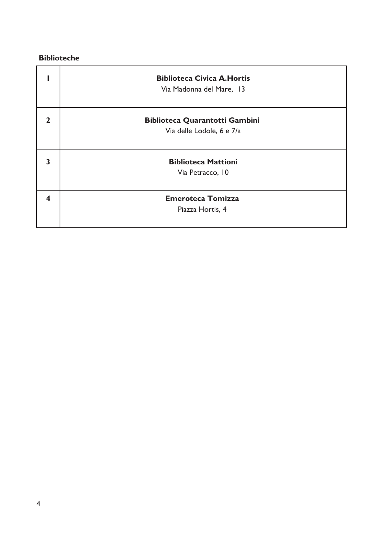## **Biblioteche**

|              | <b>Biblioteca Civica A. Hortis</b><br>Via Madonna del Mare, 13 |
|--------------|----------------------------------------------------------------|
| $\mathbf{z}$ | <b>Biblioteca Quarantotti Gambini</b>                          |
|              | Via delle Lodole, 6 e 7/a                                      |
| 3            | <b>Biblioteca Mattioni</b>                                     |
|              | Via Petracco, 10                                               |
| 4            | <b>Emeroteca Tomizza</b>                                       |
|              | Piazza Hortis, 4                                               |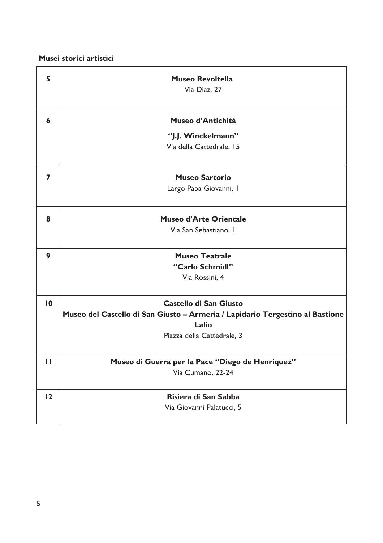Musei storici artistici

| 5               | <b>Museo Revoltella</b>                                                       |
|-----------------|-------------------------------------------------------------------------------|
|                 | Via Diaz, 27                                                                  |
| 6               | Museo d'Antichità                                                             |
|                 | "J.J. Winckelmann"                                                            |
|                 | Via della Cattedrale, 15                                                      |
| 7               | <b>Museo Sartorio</b>                                                         |
|                 | Largo Papa Giovanni, I                                                        |
| 8               | <b>Museo d'Arte Orientale</b>                                                 |
|                 | Via San Sebastiano, I                                                         |
| 9               | <b>Museo Teatrale</b>                                                         |
|                 | "Carlo Schmidl"                                                               |
|                 | Via Rossini, 4                                                                |
| $\overline{10}$ | Castello di San Giusto                                                        |
|                 | Museo del Castello di San Giusto - Armeria / Lapidario Tergestino al Bastione |
|                 | Lalio                                                                         |
|                 | Piazza della Cattedrale, 3                                                    |
| П               | Museo di Guerra per la Pace "Diego de Henriquez"                              |
|                 | Via Cumano, 22-24                                                             |
| 12              | Risiera di San Sabba                                                          |
|                 | Via Giovanni Palatucci, 5                                                     |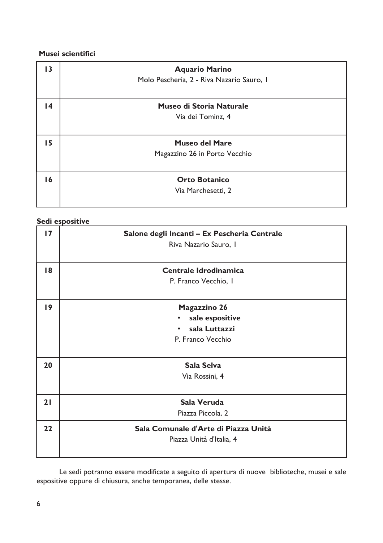## Musei scientifici

| 13 | <b>Aquario Marino</b>                     |
|----|-------------------------------------------|
|    | Molo Pescheria, 2 - Riva Nazario Sauro, I |
|    |                                           |
| 14 | Museo di Storia Naturale                  |
|    | Via dei Tominz, 4                         |
|    |                                           |
| 15 | <b>Museo del Mare</b>                     |
|    | Magazzino 26 in Porto Vecchio             |
|    |                                           |
| 16 | <b>Orto Botanico</b>                      |
|    | Via Marchesetti, 2                        |
|    |                                           |

## Sedi espositive

| $\overline{17}$ | Salone degli Incanti - Ex Pescheria Centrale<br>Riva Nazario Sauro, I             |
|-----------------|-----------------------------------------------------------------------------------|
| 18              | Centrale Idrodinamica<br>P. Franco Vecchio, I                                     |
| 19              | <b>Magazzino 26</b><br>sale espositive<br>٠<br>sala Luttazzi<br>P. Franco Vecchio |
| 20              | Sala Selva<br>Via Rossini, 4                                                      |
| 21              | Sala Veruda<br>Piazza Piccola, 2                                                  |
| 22              | Sala Comunale d'Arte di Piazza Unità<br>Piazza Unità d'Italia, 4                  |

Le sedi potranno essere modificate a seguito di apertura di nuove biblioteche, musei e sale espositive oppure di chiusura, anche temporanea, delle stesse.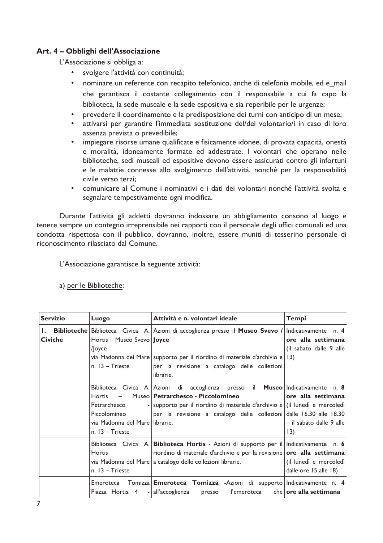## Art. 4 - Obblighi dell'Associazione

L'Associazione si obbliga a:

- svolgere l'attività con continuità;
- $\bullet$ nominare un referente con recapito telefonico, anche di telefonia mobile, ed e mail che garantisca il costante collegamento con il responsabile a cui fa capo la biblioteca, la sede museale e la sede espositiva e sia reperibile per le urgenze;
- prevedere il coordinamento e la predisposizione dei turni con anticipo di un mese;  $\bullet$
- attivarsi per garantire l'immediata sostituzione del/dei volontario/i in caso di loro  $\bullet$ assenza prevista o prevedibile;
- impiegare risorse umane qualificate e fisicamente idonee, di provata capacità, onestà e moralità, idoneamente formate ed addestrate. I volontari che operano nelle biblioteche, sedi museali ed espositive devono essere assicurati contro gli infortuni e le malattie connesse allo svolgimento dell'attività, nonché per la responsabilità civile verso terzi:
- comunicare al Comune i nominativi e i dati dei volontari nonché l'attività svolta e segnalare tempestivamente ogni modifica.

Durante l'attività gli addetti dovranno indossare un abbigliamento consono al luogo e tenere sempre un contegno irreprensibile nei rapporti con il personale degli uffici comunali ed una condotta rispettosa con il pubblico, dovranno, inoltre, essere muniti di tesserino personale di riconoscimento rilasciato dal Comune.

L'Associazione garantisce la seguente attività:

a) per le Biblioteche:

| <b>Servizio</b>        | Luogo                                                                                                               | Attività e n. volontari ideale                                                                                                                                                                                                                                                    | <b>Tempi</b>                                          |
|------------------------|---------------------------------------------------------------------------------------------------------------------|-----------------------------------------------------------------------------------------------------------------------------------------------------------------------------------------------------------------------------------------------------------------------------------|-------------------------------------------------------|
| I. .<br><b>Civiche</b> | Hortis – Museo Svevo <b>Joyce</b><br>/Joyce<br>n. $13 -$ Trieste                                                    | <b>Biblioteche Biblioteca</b> Civica A. Azioni di accoglienza presso il Museo Svevo / Indicativamente n. 4<br>via Madonna del Mare supporto per il riordino di materiale d'archivio e 13)<br>per la revisione a catalogo delle collezioni<br>librarie.                            | ore alla settimana<br>(il sabato dalle 9 alle         |
|                        | $\sim$ $-$<br><b>Hortis</b><br>Petrarchesco<br>Piccolomineo<br>via Madonna del Mare llibrarie.<br>$n. 13 - Trieste$ | Biblioteca Civica A. Azioni di accoglienza presso il <b>Museo</b> Indicativamente n. 8<br>Museo Petrarchesco - Piccolomineo<br>- supporto per il riordino di materiale d'archivio e (il lunedì e mercoledì<br>per la revisione a catalogo delle collezioni dalle 16.30 alle 18.30 | ore alla settimana<br>– il sabato dalle 9 alle<br>13) |
|                        | <b>Hortis</b><br>$n. 13 - Trieste$                                                                                  | Biblioteca Civica A. Biblioteca Hortis - Azioni di supporto per il Indicativamente n. 6<br>riordino di materiale d'archivio e per la revisione ore alla settimana<br>via Madonna del Mare a catalogo delle collezioni librarie.                                                   | (il lunedì e mercoledì<br>dalle ore 15 alle 18)       |
|                        |                                                                                                                     | Emeroteca Tomizza Emeroteca Tomizza -Azioni di supporto Indicativamente n. 4<br>Piazza Hortis, 4 - all'accoglienza presso l'emeroteca che <b>ore alla settimana</b>                                                                                                               |                                                       |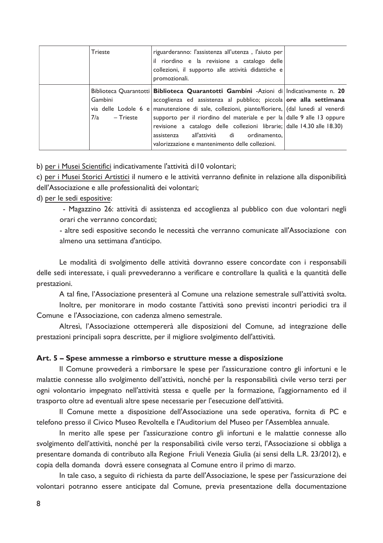| <b>Trieste</b>                | riguarderanno: l'assistenza all'utenza, l'aiuto per<br>il riordino e la revisione a catalogo delle<br>collezioni, il supporto alle attività didattiche e<br>promozionali.                                                                                                                                                                                                                                                                                                                                                    |  |
|-------------------------------|------------------------------------------------------------------------------------------------------------------------------------------------------------------------------------------------------------------------------------------------------------------------------------------------------------------------------------------------------------------------------------------------------------------------------------------------------------------------------------------------------------------------------|--|
| Gambini<br>7/a<br>$-$ Trieste | Biblioteca Quarantotti <b>Biblioteca Quarantotti Gambini</b> -Azioni di Indicativamente n. 20<br>accoglienza ed assistenza al pubblico; piccola ore alla settimana<br>via delle Lodole 6 e manutenzione di sale, collezioni, piante/fioriere, dal lunedì al venerdì<br>supporto per il riordino del materiale e per la dalle 9 alle 13 oppure<br>revisione a catalogo delle collezioni librarie; dalle 14.30 alle 18.30)<br>all'attività di<br>ordinamento.<br>assistenza<br>valorizzazione e mantenimento delle collezioni. |  |

b) per i Musei Scientifici indicativamente l'attività di l0 volontari;

c) per i Musei Storici Artistici il numero e le attività verranno definite in relazione alla disponibilità dell'Associazione e alle professionalità dei volontari;

#### d) per le sedi espositive:

- Magazzino 26: attività di assistenza ed accoglienza al pubblico con due volontari negli orari che verranno concordati:

- altre sedi espositive secondo le necessità che verranno comunicate all'Associazione con almeno una settimana d'anticipo.

Le modalità di svolgimento delle attività dovranno essere concordate con i responsabili delle sedi interessate, i quali prevvederanno a verificare e controllare la qualità e la quantità delle prestazioni.

A tal fine, l'Associazione presenterà al Comune una relazione semestrale sull'attività svolta.

Inoltre, per monitorare in modo costante l'attività sono previsti incontri periodici tra il Comune e l'Associazione, con cadenza almeno semestrale.

Altresì, l'Associazione ottempererà alle disposizioni del Comune, ad integrazione delle prestazioni principali sopra descritte, per il migliore svolgimento dell'attività.

#### Art. 5 - Spese ammesse a rimborso e strutture messe a disposizione

Il Comune provvederà a rimborsare le spese per l'assicurazione contro gli infortuni e le malattie connesse allo svolgimento dell'attività, nonché per la responsabilità civile verso terzi per ogni volontario impegnato nell'attività stessa e quelle per la formazione, l'aggiornamento ed il trasporto oltre ad eventuali altre spese necessarie per l'esecuzione dell'attività.

Il Comune mette a disposizione dell'Associazione una sede operativa, fornita di PC e telefono presso il Civico Museo Revoltella e l'Auditorium del Museo per l'Assemblea annuale.

In merito alle spese per l'assicurazione contro gli infortuni e le malattie connesse allo svolgimento dell'attività, nonché per la responsabilità civile verso terzi, l'Associazione si obbliga a presentare domanda di contributo alla Regione Friuli Venezia Giulia (ai sensi della L.R. 23/2012), e copia della domanda dovrà essere consegnata al Comune entro il primo di marzo.

In tale caso, a seguito di richiesta da parte dell'Associazione, le spese per l'assicurazione dei volontari potranno essere anticipate dal Comune, previa presentazione della documentazione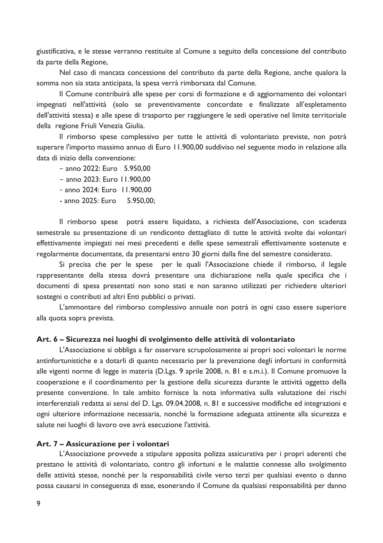giustificativa, e le stesse verranno restituite al Comune a seguito della concessione del contributo da parte della Regione,

Nel caso di mancata concessione del contributo da parte della Regione, anche qualora la somma non sia stata anticipata, la spesa verrà rimborsata dal Comune.

Il Comune contribuirà alle spese per corsi di formazione e di aggiornamento dei volontari impegnati nell'attività (solo se preventivamente concordate e finalizzate all'espletamento dell'attività stessa) e alle spese di trasporto per raggiungere le sedi operative nel limite territoriale della regione Friuli Venezia Giulia.

Il rimborso spese complessivo per tutte le attività di volontariato previste, non potrà superare l'importo massimo annuo di Euro 11.900,00 suddiviso nel seguente modo in relazione alla data di inizio della convenzione:

- $-$  anno 2022: Euro 5.950.00
- anno 2023: Euro 11.900,00
- anno 2024: Euro 11.900,00
- anno 2025: Euro 5.950,00;

Il rimborso spese potrà essere liquidato, a richiesta dell'Associazione, con scadenza semestrale su presentazione di un rendiconto dettagliato di tutte le attività svolte dai volontari effettivamente impiegati nei mesi precedenti e delle spese semestrali effettivamente sostenute e regolarmente documentate, da presentarsi entro 30 giorni dalla fine del semestre considerato.

Si precisa che per le spese per le quali l'Associazione chiede il rimborso, il legale rappresentante della stessa dovrà presentare una dichiarazione nella quale specifica che i documenti di spesa presentati non sono stati e non saranno utilizzati per richiedere ulteriori sostegni o contributi ad altri Enti pubblici o privati.

L'ammontare del rimborso complessivo annuale non potrà in ogni caso essere superiore alla quota sopra prevista.

#### Art. 6 - Sicurezza nei luoghi di svolgimento delle attività di volontariato

L'Associazione si obbliga a far osservare scrupolosamente ai propri soci volontari le norme antinfortunistiche e a dotarli di quanto necessario per la prevenzione degli infortuni in conformità alle vigenti norme di legge in materia (D.Lgs. 9 aprile 2008, n. 81 e s.m.i.). Il Comune promuove la cooperazione e il coordinamento per la gestione della sicurezza durante le attività oggetto della presente convenzione. In tale ambito fornisce la nota informativa sulla valutazione dei rischi interferenziali redatta ai sensi del D. Lgs. 09.04.2008, n. 81 e successive modifiche ed integrazioni e ogni ulteriore informazione necessaria, nonché la formazione adeguata attinente alla sicurezza e salute nei luoghi di lavoro ove avrà esecuzione l'attività.

#### Art. 7 - Assicurazione per i volontari

L'Associazione provvede a stipulare apposita polizza assicurativa per i propri aderenti che prestano le attività di volontariato, contro gli infortuni e le malattie connesse allo svolgimento delle attività stesse, nonché per la responsabilità civile verso terzi per qualsiasi evento o danno possa causarsi in conseguenza di esse, esonerando il Comune da qualsiasi responsabilità per danno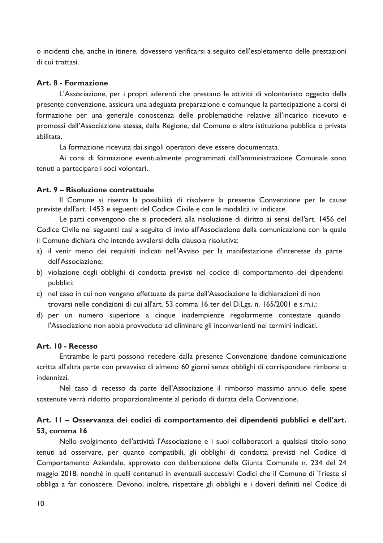o incidenti che, anche in itinere, dovessero verificarsi a seguito dell'espletamento delle prestazioni di cui trattasi.

#### Art. 8 - Formazione

L'Associazione, per i propri aderenti che prestano le attività di volontariato oggetto della presente convenzione, assicura una adeguata preparazione e comunque la partecipazione a corsi di formazione per una generale conoscenza delle problematiche relative all'incarico ricevuto e promossi dall'Associazione stessa, dalla Regione, dal Comune o altra istituzione pubblica o privata abilitata.

La formazione ricevuta dai singoli operatori deve essere documentata.

Ai corsi di formazione eventualmente programmati dall'amministrazione Comunale sono tenuti a partecipare i soci volontari.

#### Art. 9 - Risoluzione contrattuale

Il Comune si riserva la possibilità di risolvere la presente Convenzione per le cause previste dall'art. 1453 e seguenti del Codice Civile e con le modalità ivi indicate.

Le parti convengono che si procederà alla risoluzione di diritto ai sensi dell'art. 1456 del Codice Civile nei seguenti casi a seguito di invio all'Associazione della comunicazione con la quale il Comune dichiara che intende avvalersi della clausola risolutiva:

- a) il venir meno dei requisiti indicati nell'Avviso per la manifestazione d'interesse da parte dell'Associazione;
- b) violazione degli obblighi di condotta previsti nel codice di comportamento dei dipendenti pubblici;
- c) nel caso in cui non vengano effettuate da parte dell'Associazione le dichiarazioni di non trovarsi nelle condizioni di cui all'art. 53 comma 16 ter del D.Lgs. n. 165/2001 e s.m.i.;
- d) per un numero superiore a cinque inadempienze regolarmente contestate quando l'Associazione non abbia provveduto ad eliminare gli inconvenienti nei termini indicati.

### Art. 10 - Recesso

Entrambe le parti possono recedere dalla presente Convenzione dandone comunicazione scritta all'altra parte con preavviso di almeno 60 giorni senza obblighi di corrispondere rimborsi o indennizzi.

Nel caso di recesso da parte dell'Associazione il rimborso massimo annuo delle spese sostenute verrà ridotto proporzionalmente al periodo di durata della Convenzione.

## Art. II – Osservanza dei codici di comportamento dei dipendenti pubblici e dell'art. **53, comma 16**

Nello svolgimento dell'attività l'Associazione e i suoi collaboratori a qualsiasi titolo sono tenuti ad osservare, per quanto compatibili, gli obblighi di condotta previsti nel Codice di Comportamento Aziendale, approvato con deliberazione della Giunta Comunale n. 234 del 24 maggio 2018, nonché in quelli contenuti in eventuali successivi Codici che il Comune di Trieste si obbliga a far conoscere. Devono, inoltre, rispettare gli obblighi e i doveri definiti nel Codice di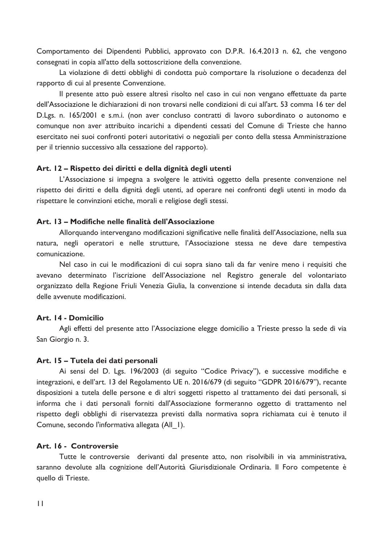Comportamento dei Dipendenti Pubblici, approvato con D.P.R. 16.4.2013 n. 62, che vengono consegnati in copia all'atto della sottoscrizione della convenzione.

La violazione di detti obblighi di condotta può comportare la risoluzione o decadenza del rapporto di cui al presente Convenzione.

Il presente atto può essere altresì risolto nel caso in cui non vengano effettuate da parte dell'Associazione le dichiarazioni di non trovarsi nelle condizioni di cui all'art. 53 comma 16 ter del D.Lgs. n. 165/2001 e s.m.i. (non aver concluso contratti di lavoro subordinato o autonomo e comunque non aver attribuito incarichi a dipendenti cessati del Comune di Trieste che hanno esercitato nei suoi confronti poteri autoritativi o negoziali per conto della stessa Amministrazione per il triennio successivo alla cessazione del rapporto).

#### Art. 12 – Rispetto dei diritti e della dignità degli utenti

L'Associazione si impegna a svolgere le attività oggetto della presente convenzione nel rispetto dei diritti e della dignità degli utenti, ad operare nei confronti degli utenti in modo da rispettare le convinzioni etiche, morali e religiose degli stessi.

#### Art. 13 – Modifiche nelle finalità dell'Associazione

Allorquando intervengano modificazioni significative nelle finalità dell'Associazione, nella sua natura, negli operatori e nelle strutture, l'Associazione stessa ne deve dare tempestiva comunicazione.

Nel caso in cui le modificazioni di cui sopra siano tali da far venire meno i requisiti che avevano determinato l'iscrizione dell'Associazione nel Registro generale del volontariato organizzato della Regione Friuli Venezia Giulia, la convenzione si intende decaduta sin dalla data delle avvenute modificazioni.

#### Art. 14 - Domicilio

Agli effetti del presente atto l'Associazione elegge domicilio a Trieste presso la sede di via San Giorgio n. 3.

#### Art. 15 - Tutela dei dati personali

Ai sensi del D. Lgs. 196/2003 (di seguito "Codice Privacy"), e successive modifiche e integrazioni, e dell'art. 13 del Regolamento UE n. 2016/679 (di seguito "GDPR 2016/679"), recante disposizioni a tutela delle persone e di altri soggetti rispetto al trattamento dei dati personali, si informa che i dati personali forniti dall'Associazione formeranno oggetto di trattamento nel rispetto degli obblighi di riservatezza previsti dalla normativa sopra richiamata cui è tenuto il Comune, secondo l'informativa allegata (All 1).

#### Art. 16 - Controversie

Tutte le controversie derivanti dal presente atto, non risolvibili in via amministrativa, saranno devolute alla cognizione dell'Autorità Giurisdizionale Ordinaria. Il Foro competente è quello di Trieste.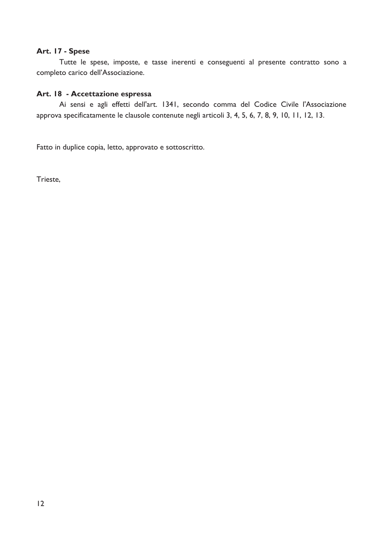#### Art. 17 - Spese

Tutte le spese, imposte, e tasse inerenti e conseguenti al presente contratto sono a completo carico dell'Associazione.

## Art. 18 - Accettazione espressa

Ai sensi e agli effetti dell'art. 1341, secondo comma del Codice Civile l'Associazione approva specificatamente le clausole contenute negli articoli 3, 4, 5, 6, 7, 8, 9, 10, 11, 12, 13.

Fatto in duplice copia, letto, approvato e sottoscritto.

Trieste,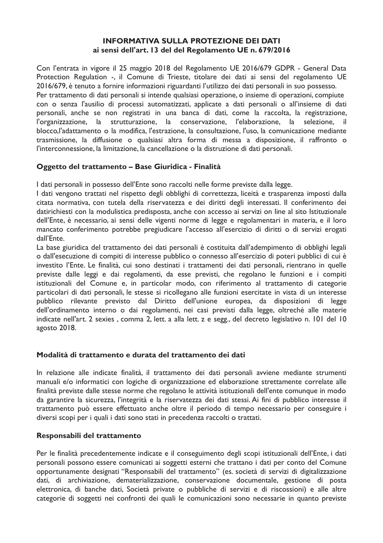### **INFORMATIVA SULLA PROTEZIONE DEI DATI** ai sensi dell'art. 13 del del Regolamento UE n. 679/2016

Con l'entrata in vigore il 25 maggio 2018 del Regolamento UE 2016/679 GDPR - General Data Protection Regulation -, il Comune di Trieste, titolare dei dati ai sensi del regolamento UE 2016/679, è tenuto a fornire informazioni riguardanti l'utilizzo dei dati personali in suo possesso. Per trattamento di dati personali si intende qualsiasi operazione, o insieme di operazioni, compiute con o senza l'ausilio di processi automatizzati, applicate a dati personali o all'insieme di dati personali, anche se non registrati in una banca di dati, come la raccolta, la registrazione, l'organizzazione, la strutturazione, la conservazione, l'elaborazione, la selezione. - il blocco, l'adattamento o la modifica, l'estrazione, la consultazione, l'uso, la comunicazione mediante trasmissione, la diffusione o qualsiasi altra forma di messa a disposizione, il raffronto o l'interconnessione, la limitazione, la cancellazione o la distruzione di dati personali.

### Oggetto del trattamento - Base Giuridica - Finalità

I dati personali in possesso dell'Ente sono raccolti nelle forme previste dalla legge.

I dati vengono trattati nel rispetto degli obblighi di correttezza, liceità e trasparenza imposti dalla citata normativa, con tutela della riservatezza e dei diritti degli interessati. Il conferimento dei datirichiesti con la modulistica predisposta, anche con accesso ai servizi on line al sito Istituzionale dell'Ente, è necessario, ai sensi delle vigenti norme di legge e regolamentari in materia, e il loro mancato conferimento potrebbe pregiudicare l'accesso all'esercizio di diritti o di servizi erogati dall'Ente.

La base giuridica del trattamento dei dati personali è costituita dall'adempimento di obblighi legali o dall'esecuzione di compiti di interesse pubblico o connesso all'esercizio di poteri pubblici di cui è investito l'Ente. Le finalità, cui sono destinati i trattamenti dei dati personali, rientrano in quelle previste dalle leggi e dai regolamenti, da esse previsti, che regolano le funzioni e i compiti istituzionali del Comune e, in particolar modo, con riferimento al trattamento di categorie particolari di dati personali, le stesse si ricollegano alle funzioni esercitate in vista di un interesse pubblico rilevante previsto dal Diritto dell'unione europea, da disposizioni di legge dell'ordinamento interno o dai regolamenti, nei casi previsti dalla legge, oltreché alle materie indicate nell'art. 2 sexies, comma 2, lett. a alla lett. z e segg., del decreto legislativo n. 101 del 10 agosto 2018.

### Modalità di trattamento e durata del trattamento dei dati

In relazione alle indicate finalità, il trattamento dei dati personali avviene mediante strumenti manuali e/o informatici con logiche di organizzazione ed elaborazione strettamente correlate alle finalità previste dalle stesse norme che regolano le attività istituzionali dell'ente comunque in modo da garantire la sicurezza, l'integrità e la riservatezza dei dati stessi. Ai fini di pubblico interesse il trattamento può essere effettuato anche oltre il periodo di tempo necessario per conseguire i diversi scopi per i quali i dati sono stati in precedenza raccolti o trattati.

### Responsabili del trattamento

Per le finalità precedentemente indicate e il conseguimento degli scopi istituzionali dell'Ente, i dati personali possono essere comunicati ai soggetti esterni che trattano i dati per conto del Comune opportunamente designati "Responsabili del trattamento" (es. società di servizi di digitalizzazione dati, di archiviazione, dematerializzazione, conservazione documentale, gestione di posta elettronica, di banche dati, Società private o pubbliche di servizi e di riscossioni) e alle altre categorie di soggetti nei confronti dei quali le comunicazioni sono necessarie in quanto previste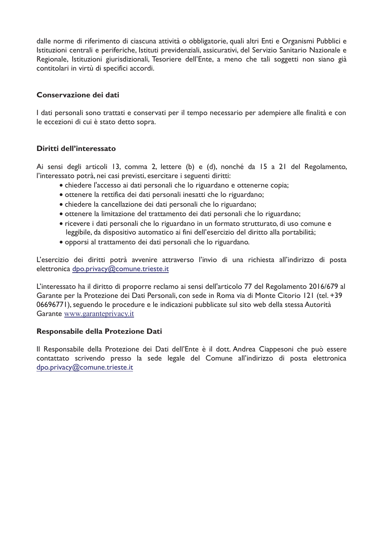dalle norme di riferimento di ciascuna attività o obbligatorie, quali altri Enti e Organismi Pubblici e Istituzioni centrali e periferiche, Istituti previdenziali, assicurativi, del Servizio Sanitario Nazionale e Regionale, Istituzioni giurisdizionali, Tesoriere dell'Ente, a meno che tali soggetti non siano già contitolari in virtù di specifici accordi.

## Conservazione dei dati

I dati personali sono trattati e conservati per il tempo necessario per adempiere alle finalità e con le eccezioni di cui è stato detto sopra.

## Diritti dell'interessato

Ai sensi degli articoli 13, comma 2, lettere (b) e (d), nonché da 15 a 21 del Regolamento, l'interessato potrà, nei casi previsti, esercitare i seguenti diritti:

- chiedere l'accesso ai dati personali che lo riguardano e ottenerne copia;
- · ottenere la rettifica dei dati personali inesatti che lo riguardano;
- chiedere la cancellazione dei dati personali che lo riguardano;
- · ottenere la limitazione del trattamento dei dati personali che lo riguardano;
- ricevere i dati personali che lo riguardano in un formato strutturato, di uso comune e leggibile, da dispositivo automatico ai fini dell'esercizio del diritto alla portabilità;
- · opporsi al trattamento dei dati personali che lo riguardano.

L'esercizio dei diritti potrà avvenire attraverso l'invio di una richiesta all'indirizzo di posta elettronica dpo.privacy@comune.trieste.it

L'interessato ha il diritto di proporre reclamo ai sensi dell'articolo 77 del Regolamento 2016/679 al Garante per la Protezione dei Dati Personali, con sede in Roma via di Monte Citorio 121 (tel. +39 06696771), seguendo le procedure e le indicazioni pubblicate sul sito web della stessa Autorità Garante www.garanteprivacy.it

### Responsabile della Protezione Dati

Il Responsabile della Protezione dei Dati dell'Ente è il dott. Andrea Ciappesoni che può essere contattato scrivendo presso la sede legale del Comune all'indirizzo di posta elettronica dpo.privacy@comune.trieste.it